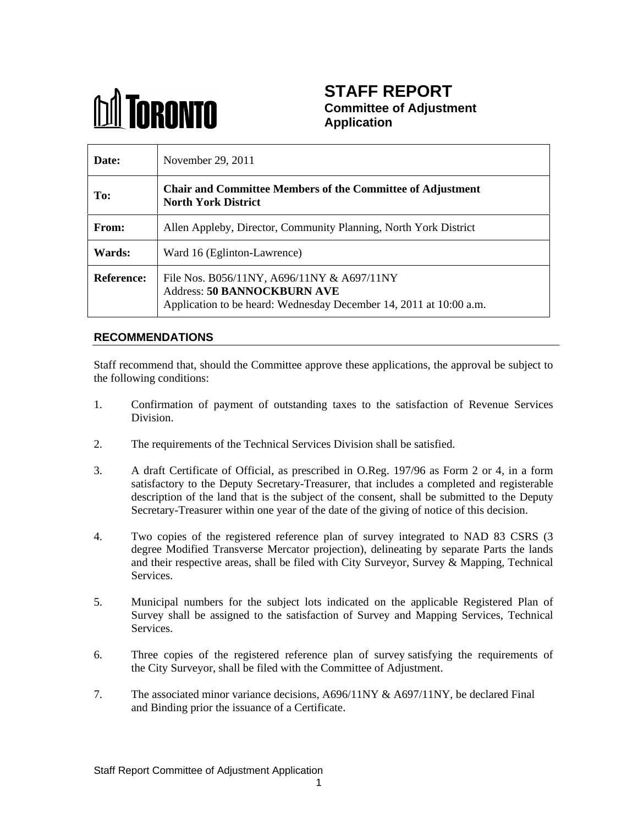

# **STAFF REPORT Committee of Adjustment Application**

| Date:         | November $29, 2011$                                                                                                                                               |
|---------------|-------------------------------------------------------------------------------------------------------------------------------------------------------------------|
| To:           | Chair and Committee Members of the Committee of Adjustment<br><b>North York District</b>                                                                          |
| From:         | Allen Appleby, Director, Community Planning, North York District                                                                                                  |
| <b>Wards:</b> | Ward 16 (Eglinton-Lawrence)                                                                                                                                       |
|               | <b>Reference:</b> File Nos. B056/11NY, A696/11NY & A697/11NY<br>Address: 50 BANNOCKBURN AVE<br>Application to be heard: Wednesday December 14, 2011 at 10:00 a.m. |

## **RECOMMENDATIONS**

Staff recommend that, should the Committee approve these applications, the approval be subject to the following conditions:

- 1. Confirmation of payment of outstanding taxes to the satisfaction of Revenue Services Division.
- 2. The requirements of the Technical Services Division shall be satisfied.
- 3. A draft Certificate of Official, as prescribed in O.Reg. 197/96 as Form 2 or 4, in a form satisfactory to the Deputy Secretary-Treasurer, that includes a completed and registerable description of the land that is the subject of the consent, shall be submitted to the Deputy Secretary-Treasurer within one year of the date of the giving of notice of this decision.
- 4. Two copies of the registered reference plan of survey integrated to NAD 83 CSRS (3 degree Modified Transverse Mercator projection), delineating by separate Parts the lands and their respective areas, shall be filed with City Surveyor, Survey & Mapping, Technical Services.
- 5. Municipal numbers for the subject lots indicated on the applicable Registered Plan of Survey shall be assigned to the satisfaction of Survey and Mapping Services, Technical
- Services.<br>6. Three copies of the registered reference plan of survey satisfying the requirements of the City Surveyor, shall be filed with the Committee of Adjustment.
- 7. The associated minor variance decisions, A696/11NY & A697/11NY, be declared Final and Binding prior the issuance of a Certificate.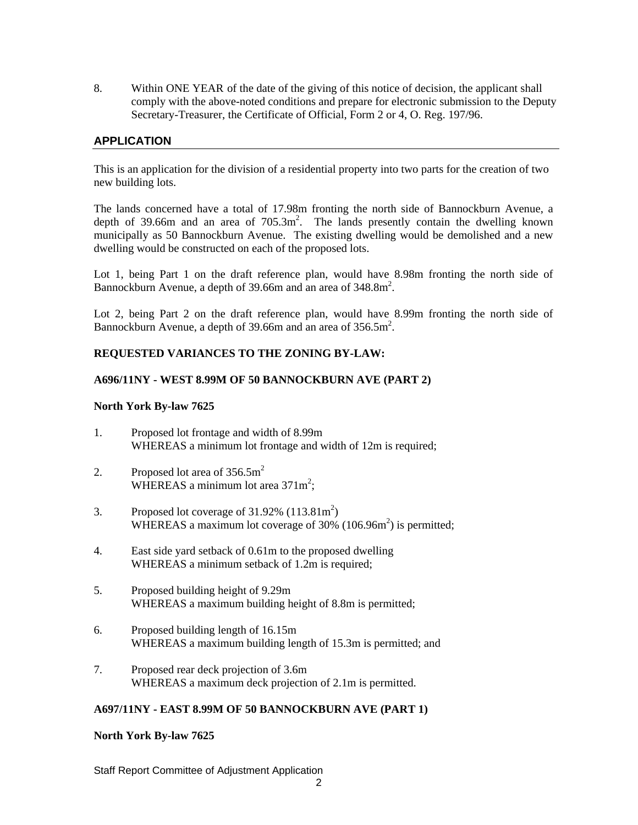8. Within ONE YEAR of the date of the giving of this notice of decision, the applicant shall comply with the above-noted conditions and prepare for electronic submission to the Deputy Secretary-Treasurer, the Certificate of Official, Form 2 or 4, O. Reg. 197/96.

### **APPLICATION**

This is an application for the division of a residential property into two parts for the creation of two new building lots.

The lands concerned have a total of 17.98m fronting the north side of Bannockburn Avenue, a depth of 39.66m and an area of 705.3m 2 . The lands presently contain the dwelling known municipally as 50 Bannockburn Avenue. The existing dwelling would be demolished and a new dwelling would be constructed on each of the proposed lots.

Lot 1, being Part 1 on the draft reference plan, would have 8.98m fronting the north side of Bannockburn Avenue, a depth of 39.66m and an area of 348.8m<sup>2</sup>. 2 . A construction of the construction of the construction of the construction of the construction of the construction of the construction of the construction of the construction of the construction of the construction of th

Lot 2, being Part 2 on the draft reference plan, would have 8.99m fronting the north side of Bannockburn Avenue, a depth of 39.66m and an area of  $356.5m^2$ . 2 a contract contract to the contract of the contract of the contract of the contract of the contract of the contract of the contract of the contract of the contract of the contract of the contract of the contract of the c . A construction of the construction of the construction of the construction of the construction of the construction of the construction of the construction of the construction of the construction of the construction of th

#### **REQUESTED VARIANCES TO THE ZONING BY-LAW:**

#### **A696/11NY - WEST 8.99M OF 50 BANNOCKBURN AVE (PART 2)**

#### **North York By-law 7625**

- 1. Proposed lot frontage and width of 8.99m WHEREAS a minimum lot frontage and width of 12m is required;
- 2. Proposed lot area of  $356.5m^2$ WHEREAS a minimum lot area  $371m^2$ ; ;<br>;
- 3. Proposed lot coverage of  $31.92\%$  (113.81m<sup>2</sup>) ) and the contract of  $\mathcal{L}$ WHEREAS a maximum lot coverage of  $30\%$  (106.96m<sup>2</sup>) is permitted; ) is permitted;
- 4. East side yard setback of 0.61m to the proposed dwelling WHEREAS a minimum setback of 1.2m is required;
- 5. Proposed building height of 9.29m WHEREAS a maximum building height of 8.8m is permitted;
- 6. Proposed building length of 16.15m WHEREAS a maximum building length of 15.3m is permitted; and
- 7. Proposed rear deck projection of 3.6m WHEREAS a maximum deck projection of 2.1m is permitted.

#### **A697/11NY - EAST 8.99M OF 50 BANNOCKBURN AVE (PART 1)**

#### **North York By-law 7625**

Staff Report Committee of Adjustment Application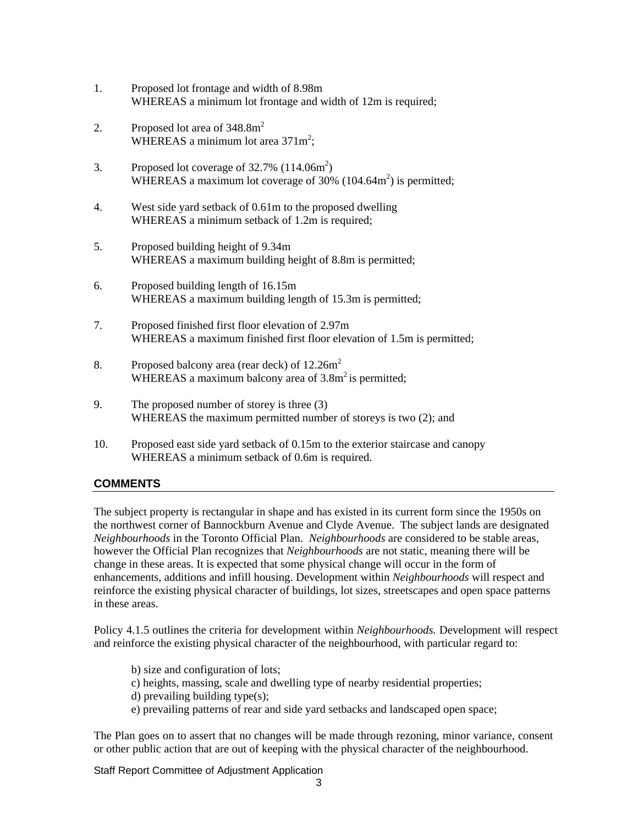- 1. Proposed lot frontage and width of 8.98m WHEREAS a minimum lot frontage and width of 12m is required;
- 2. Proposed lot area of  $348.8m^2$ WHEREAS a minimum lot area  $371m^2$ : ;<br>;
- 3. Proposed lot coverage of  $32.7\%$  (114.06m<sup>2</sup>) ) and the contract of  $\mathcal{L}$ WHEREAS a maximum lot coverage of  $30\%$  (104.64m<sup>2</sup>) is permitted; ) is permitted;
- 4. West side yard setback of 0.61m to the proposed dwelling WHEREAS a minimum setback of 1.2m is required;
- 5. Proposed building height of 9.34m WHEREAS a maximum building height of 8.8m is permitted;
- 6. Proposed building length of 16.15m WHEREAS a maximum building length of 15.3m is permitted;
- 7. Proposed finished first floor elevation of 2.97m WHEREAS a maximum finished first floor elevation of 1.5m is permitted;
- 8. Proposed balcony area (rear deck) of  $12.26m<sup>2</sup>$ WHEREAS a maximum balcony area of  $3.8m<sup>2</sup>$  is permitted;
- 9. The proposed number of storey is three (3) WHEREAS the maximum permitted number of storeys is two (2); and
- 10. Proposed east side yard setback of 0.15m to the exterior staircase and canopy WHEREAS a minimum setback of 0.6m is required.

## **COMMENTS**

The subject property is rectangular in shape and has existed in its current form since the 1950s on the northwest corner of Bannockburn Avenue and Clyde Avenue. The subject lands are designated *Neighbourhoods* in the Toronto Official Plan. *Neighbourhoods* are considered to be stable areas, however the Official Plan recognizes that *Neighbourhoods* are not static, meaning there will be change in these areas. It is expected that some physical change will occur in the form of enhancements, additions and infill housing. Development within *Neighbourhoods* will respect and reinforce the existing physical character of buildings, lot sizes, streetscapes and open space patterns in these areas.

Policy 4.1.5 outlines the criteria for development within *Neighbourhoods*. Development will respect and reinforce the existing physical character of the neighbourhood, with particular regard to:

- b) size and configuration of lots;
- c) heights, massing, scale and dwelling type of nearby residential properties;
- d) prevailing building type(s);
- e) prevailing patterns of rear and side yard setbacks and landscaped open space;

The Plan goes on to assert that no changes will be made through rezoning, minor variance, consent or other public action that are out of keeping with the physical character of the neighbourhood.

Staff Report Committee of Adjustment Application